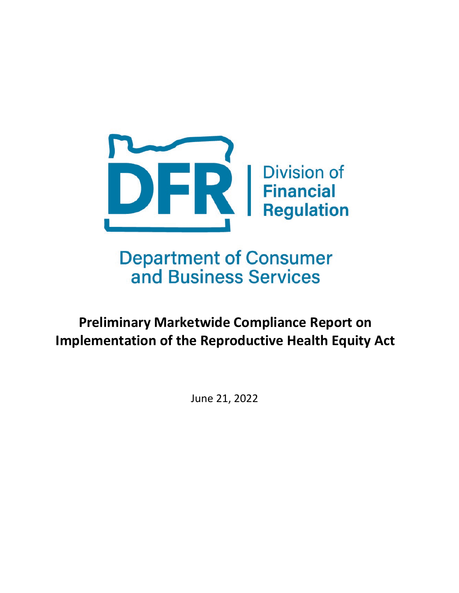

**Department of Consumer** and Business Services

**Preliminary Marketwide Compliance Report on Implementation of the Reproductive Health Equity Act**

June 21, 2022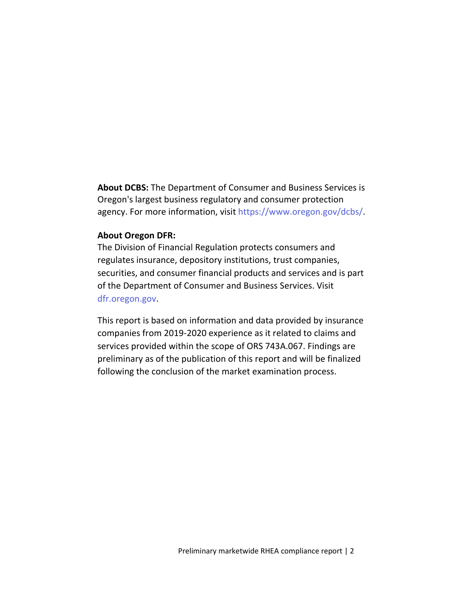**About DCBS:** The Department of Consumer and Business Services is Oregon's largest business regulatory and consumer protection agency. For more information, visit https://www.oregon.gov/dcbs/.

#### **About Oregon DFR:**

The Division of Financial Regulation protects consumers and regulates insurance, depository institutions, trust companies, securities, and consumer financial products and services and is part of the Department of Consumer and Business Services. Visit dfr.oregon.gov.

This report is based on information and data provided by insurance companies from 2019-2020 experience as it related to claims and services provided within the scope of ORS 743A.067. Findings are preliminary as of the publication of this report and will be finalized following the conclusion of the market examination process.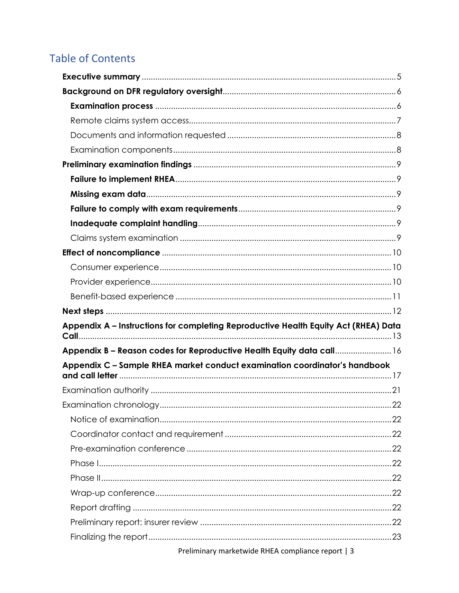# **Table of Contents**

| Appendix A - Instructions for completing Reproductive Health Equity Act (RHEA) Data |    |
|-------------------------------------------------------------------------------------|----|
| Appendix B - Reason codes for Reproductive Health Equity data call 16               |    |
| Appendix C - Sample RHEA market conduct examination coordinator's handbook          |    |
|                                                                                     |    |
|                                                                                     |    |
|                                                                                     | 22 |
|                                                                                     |    |
|                                                                                     |    |
|                                                                                     |    |
|                                                                                     |    |
|                                                                                     |    |
|                                                                                     |    |
|                                                                                     |    |
|                                                                                     |    |
|                                                                                     |    |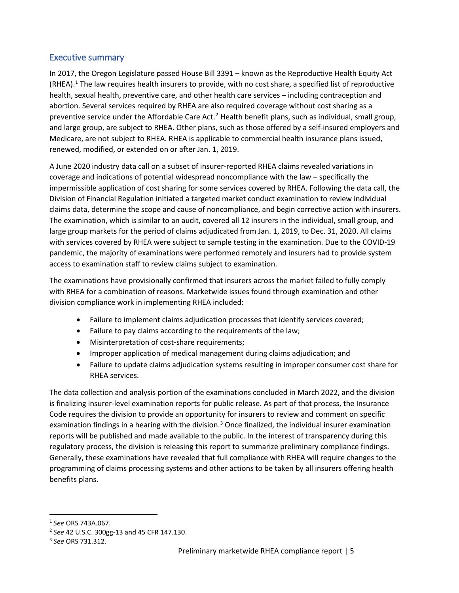#### <span id="page-4-0"></span>Executive summary

In 2017, the Oregon Legislature passed House Bill 3391 – known as the Reproductive Health Equity Act (RHEA). [1](#page-4-1) The law requires health insurers to provide, with no cost share, a specified list of reproductive health, sexual health, preventive care, and other health care services – including contraception and abortion. Several services required by RHEA are also required coverage without cost sharing as a preventive service under the Affordable Care Act.<sup>[2](#page-4-2)</sup> Health benefit plans, such as individual, small group, and large group, are subject to RHEA. Other plans, such as those offered by a self-insured employers and Medicare, are not subject to RHEA. RHEA is applicable to commercial health insurance plans issued, renewed, modified, or extended on or after Jan. 1, 2019.

A June 2020 industry data call on a subset of insurer-reported RHEA claims revealed variations in coverage and indications of potential widespread noncompliance with the law – specifically the impermissible application of cost sharing for some services covered by RHEA. Following the data call, the Division of Financial Regulation initiated a targeted market conduct examination to review individual claims data, determine the scope and cause of noncompliance, and begin corrective action with insurers. The examination, which is similar to an audit, covered all 12 insurers in the individual, small group, and large group markets for the period of claims adjudicated from Jan. 1, 2019, to Dec. 31, 2020. All claims with services covered by RHEA were subject to sample testing in the examination. Due to the COVID-19 pandemic, the majority of examinations were performed remotely and insurers had to provide system access to examination staff to review claims subject to examination.

The examinations have provisionally confirmed that insurers across the market failed to fully comply with RHEA for a combination of reasons. Marketwide issues found through examination and other division compliance work in implementing RHEA included:

- Failure to implement claims adjudication processes that identify services covered;
- Failure to pay claims according to the requirements of the law;
- Misinterpretation of cost-share requirements;
- Improper application of medical management during claims adjudication; and
- Failure to update claims adjudication systems resulting in improper consumer cost share for RHEA services.

The data collection and analysis portion of the examinations concluded in March 2022, and the division is finalizing insurer-level examination reports for public release. As part of that process, the Insurance Code requires the division to provide an opportunity for insurers to review and comment on specific examination findings in a hearing with the division.<sup>[3](#page-4-3)</sup> Once finalized, the individual insurer examination reports will be published and made available to the public. In the interest of transparency during this regulatory process, the division is releasing this report to summarize preliminary compliance findings. Generally, these examinations have revealed that full compliance with RHEA will require changes to the programming of claims processing systems and other actions to be taken by all insurers offering health benefits plans.

<span id="page-4-1"></span> <sup>1</sup> *See* ORS 743A.067.

<span id="page-4-2"></span><sup>2</sup> *See* 42 U.S.C. 300gg-13 and 45 CFR 147.130.

<span id="page-4-3"></span><sup>3</sup> *See* ORS 731.312.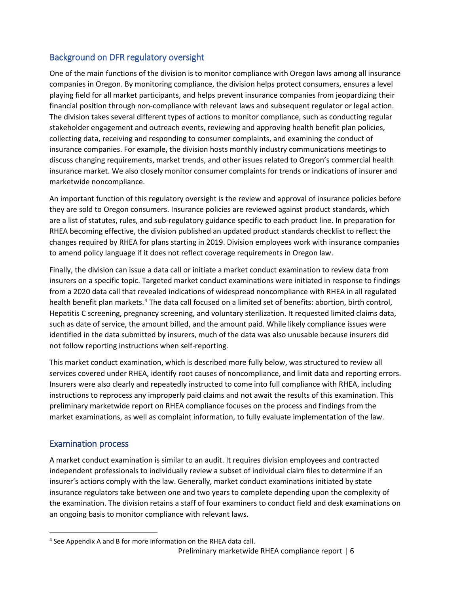# <span id="page-5-0"></span>Background on DFR regulatory oversight

One of the main functions of the division is to monitor compliance with Oregon laws among all insurance companies in Oregon. By monitoring compliance, the division helps protect consumers, ensures a level playing field for all market participants, and helps prevent insurance companies from jeopardizing their financial position through non-compliance with relevant laws and subsequent regulator or legal action. The division takes several different types of actions to monitor compliance, such as conducting regular stakeholder engagement and outreach events, reviewing and approving health benefit plan policies, collecting data, receiving and responding to consumer complaints, and examining the conduct of insurance companies. For example, the division hosts monthly industry communications meetings to discuss changing requirements, market trends, and other issues related to Oregon's commercial health insurance market. We also closely monitor consumer complaints for trends or indications of insurer and marketwide noncompliance.

An important function of this regulatory oversight is the review and approval of insurance policies before they are sold to Oregon consumers. Insurance policies are reviewed against product standards, which are a list of statutes, rules, and sub-regulatory guidance specific to each product line. In preparation for RHEA becoming effective, the division published an updated product standards checklist to reflect the changes required by RHEA for plans starting in 2019. Division employees work with insurance companies to amend policy language if it does not reflect coverage requirements in Oregon law.

Finally, the division can issue a data call or initiate a market conduct examination to review data from insurers on a specific topic. Targeted market conduct examinations were initiated in response to findings from a 2020 data call that revealed indications of widespread noncompliance with RHEA in all regulated health benefit plan markets.<sup>[4](#page-5-2)</sup> The data call focused on a limited set of benefits: abortion, birth control, Hepatitis C screening, pregnancy screening, and voluntary sterilization. It requested limited claims data, such as date of service, the amount billed, and the amount paid. While likely compliance issues were identified in the data submitted by insurers, much of the data was also unusable because insurers did not follow reporting instructions when self-reporting.

This market conduct examination, which is described more fully below, was structured to review all services covered under RHEA, identify root causes of noncompliance, and limit data and reporting errors. Insurers were also clearly and repeatedly instructed to come into full compliance with RHEA, including instructions to reprocess any improperly paid claims and not await the results of this examination. This preliminary marketwide report on RHEA compliance focuses on the process and findings from the market examinations, as well as complaint information, to fully evaluate implementation of the law.

#### <span id="page-5-1"></span>Examination process

A market conduct examination is similar to an audit. It requires division employees and contracted independent professionals to individually review a subset of individual claim files to determine if an insurer's actions comply with the law. Generally, market conduct examinations initiated by state insurance regulators take between one and two years to complete depending upon the complexity of the examination. The division retains a staff of four examiners to conduct field and desk examinations on an ongoing basis to monitor compliance with relevant laws.

<span id="page-5-2"></span> <sup>4</sup> See Appendix A and B for more information on the RHEA data call.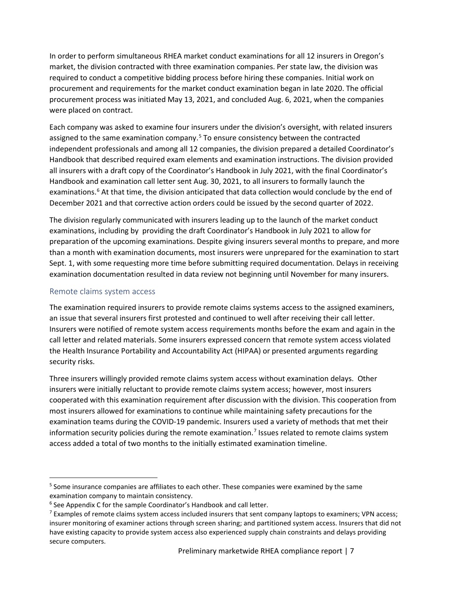In order to perform simultaneous RHEA market conduct examinations for all 12 insurers in Oregon's market, the division contracted with three examination companies. Per state law, the division was required to conduct a competitive bidding process before hiring these companies. Initial work on procurement and requirements for the market conduct examination began in late 2020. The official procurement process was initiated May 13, 2021, and concluded Aug. 6, 2021, when the companies were placed on contract.

Each company was asked to examine four insurers under the division's oversight, with related insurers assigned to the same examination company.<sup>[5](#page-6-1)</sup> To ensure consistency between the contracted independent professionals and among all 12 companies, the division prepared a detailed Coordinator's Handbook that described required exam elements and examination instructions. The division provided all insurers with a draft copy of the Coordinator's Handbook in July 2021, with the final Coordinator's Handbook and examination call letter sent Aug. 30, 2021, to all insurers to formally launch the examinations.<sup>[6](#page-6-2)</sup> At that time, the division anticipated that data collection would conclude by the end of December 2021 and that corrective action orders could be issued by the second quarter of 2022.

The division regularly communicated with insurers leading up to the launch of the market conduct examinations, including by providing the draft Coordinator's Handbook in July 2021 to allow for preparation of the upcoming examinations. Despite giving insurers several months to prepare, and more than a month with examination documents, most insurers were unprepared for the examination to start Sept. 1, with some requesting more time before submitting required documentation. Delays in receiving examination documentation resulted in data review not beginning until November for many insurers.

#### <span id="page-6-0"></span>Remote claims system access

The examination required insurers to provide remote claims systems access to the assigned examiners, an issue that several insurers first protested and continued to well after receiving their call letter. Insurers were notified of remote system access requirements months before the exam and again in the call letter and related materials. Some insurers expressed concern that remote system access violated the Health Insurance Portability and Accountability Act (HIPAA) or presented arguments regarding security risks.

Three insurers willingly provided remote claims system access without examination delays. Other insurers were initially reluctant to provide remote claims system access; however, most insurers cooperated with this examination requirement after discussion with the division. This cooperation from most insurers allowed for examinations to continue while maintaining safety precautions for the examination teams during the COVID-19 pandemic. Insurers used a variety of methods that met their information security policies during the remote examination. [7](#page-6-3) Issues related to remote claims system access added a total of two months to the initially estimated examination timeline.

<span id="page-6-1"></span><sup>&</sup>lt;sup>5</sup> Some insurance companies are affiliates to each other. These companies were examined by the same examination company to maintain consistency.

<span id="page-6-2"></span><sup>&</sup>lt;sup>6</sup> See Appendix C for the sample Coordinator's Handbook and call letter.

<span id="page-6-3"></span><sup>&</sup>lt;sup>7</sup> Examples of remote claims system access included insurers that sent company laptops to examiners; VPN access; insurer monitoring of examiner actions through screen sharing; and partitioned system access. Insurers that did not have existing capacity to provide system access also experienced supply chain constraints and delays providing secure computers.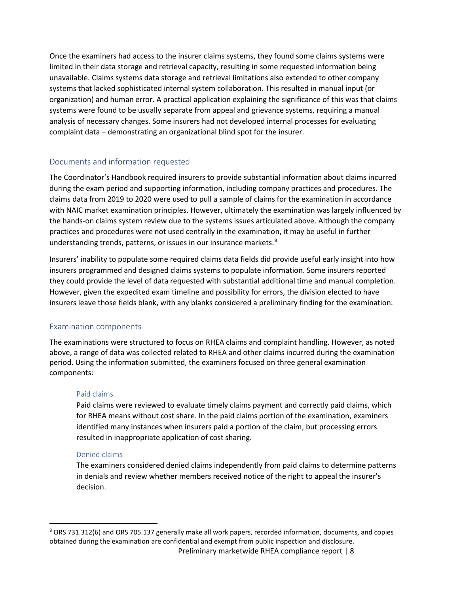Once the examiners had access to the insurer claims systems, they found some claims systems were limited in their data storage and retrieval capacity, resulting in some requested information being unavailable. Claims systems data storage and retrieval limitations also extended to other company systems that lacked sophisticated internal system collaboration. This resulted in manual input (or organization) and human error. A practical application explaining the significance of this was that claims systems were found to be usually separate from appeal and grievance systems, requiring a manual analysis of necessary changes. Some insurers had not developed internal processes for evaluating complaint data – demonstrating an organizational blind spot for the insurer.

#### <span id="page-7-0"></span>Documents and information requested

The Coordinator's Handbook required insurers to provide substantial information about claims incurred during the exam period and supporting information, including company practices and procedures. The claims data from 2019 to 2020 were used to pull a sample of claims for the examination in accordance with NAIC market examination principles. However, ultimately the examination was largely influenced by the hands-on claims system review due to the systems issues articulated above. Although the company practices and procedures were not used centrally in the examination, it may be useful in further understanding trends, patterns, or issues in our insurance markets.<sup>[8](#page-7-2)</sup>

Insurers' inability to populate some required claims data fields did provide useful early insight into how insurers programmed and designed claims systems to populate information. Some insurers reported they could provide the level of data requested with substantial additional time and manual completion. However, given the expedited exam timeline and possibility for errors, the division elected to have insurers leave those fields blank, with any blanks considered a preliminary finding for the examination.

#### <span id="page-7-1"></span>Examination components

The examinations were structured to focus on RHEA claims and complaint handling. However, as noted above, a range of data was collected related to RHEA and other claims incurred during the examination period. Using the information submitted, the examiners focused on three general examination components:

#### Paid claims

Paid claims were reviewed to evaluate timely claims payment and correctly paid claims, which for RHEA means without cost share. In the paid claims portion of the examination, examiners identified many instances when insurers paid a portion of the claim, but processing errors resulted in inappropriate application of cost sharing.

#### Denied claims

The examiners considered denied claims independently from paid claims to determine patterns in denials and review whether members received notice of the right to appeal the insurer's decision.

<span id="page-7-2"></span>Preliminary marketwide RHEA compliance report | 8 8 ORS 731.312(6) and ORS 705.137 generally make all work papers, recorded information, documents, and copies obtained during the examination are confidential and exempt from public inspection and disclosure.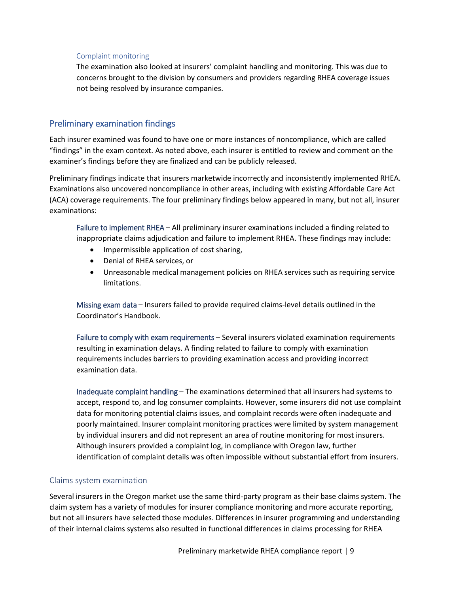#### Complaint monitoring

The examination also looked at insurers' complaint handling and monitoring. This was due to concerns brought to the division by consumers and providers regarding RHEA coverage issues not being resolved by insurance companies.

#### <span id="page-8-0"></span>Preliminary examination findings

Each insurer examined was found to have one or more instances of noncompliance, which are called "findings" in the exam context. As noted above, each insurer is entitled to review and comment on the examiner's findings before they are finalized and can be publicly released.

Preliminary findings indicate that insurers marketwide incorrectly and inconsistently implemented RHEA. Examinations also uncovered noncompliance in other areas, including with existing Affordable Care Act (ACA) coverage requirements. The four preliminary findings below appeared in many, but not all, insurer examinations:

<span id="page-8-1"></span>Failure to implement RHEA – All preliminary insurer examinations included a finding related to inappropriate claims adjudication and failure to implement RHEA. These findings may include:

- Impermissible application of cost sharing,
- Denial of RHEA services, or
- Unreasonable medical management policies on RHEA services such as requiring service limitations.

<span id="page-8-2"></span>Missing exam data – Insurers failed to provide required claims-level details outlined in the Coordinator's Handbook.

<span id="page-8-3"></span>Failure to comply with exam requirements – Several insurers violated examination requirements resulting in examination delays. A finding related to failure to comply with examination requirements includes barriers to providing examination access and providing incorrect examination data.

<span id="page-8-4"></span>Inadequate complaint handling – The examinations determined that all insurers had systems to accept, respond to, and log consumer complaints. However, some insurers did not use complaint data for monitoring potential claims issues, and complaint records were often inadequate and poorly maintained. Insurer complaint monitoring practices were limited by system management by individual insurers and did not represent an area of routine monitoring for most insurers. Although insurers provided a complaint log, in compliance with Oregon law, further identification of complaint details was often impossible without substantial effort from insurers.

#### <span id="page-8-5"></span>Claims system examination

Several insurers in the Oregon market use the same third-party program as their base claims system. The claim system has a variety of modules for insurer compliance monitoring and more accurate reporting, but not all insurers have selected those modules. Differences in insurer programming and understanding of their internal claims systems also resulted in functional differences in claims processing for RHEA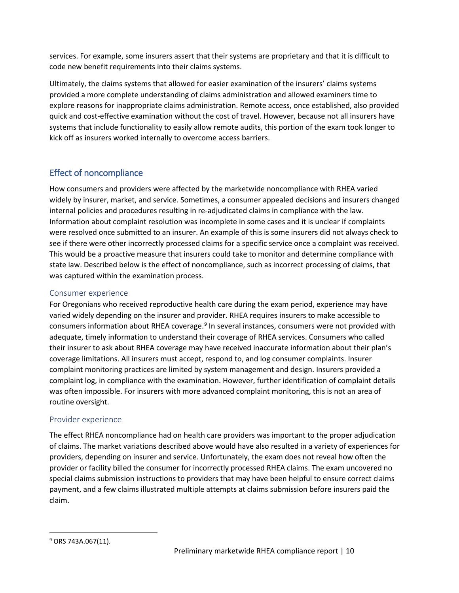services. For example, some insurers assert that their systems are proprietary and that it is difficult to code new benefit requirements into their claims systems.

Ultimately, the claims systems that allowed for easier examination of the insurers' claims systems provided a more complete understanding of claims administration and allowed examiners time to explore reasons for inappropriate claims administration. Remote access, once established, also provided quick and cost-effective examination without the cost of travel. However, because not all insurers have systems that include functionality to easily allow remote audits, this portion of the exam took longer to kick off as insurers worked internally to overcome access barriers.

# <span id="page-9-0"></span>Effect of noncompliance

How consumers and providers were affected by the marketwide noncompliance with RHEA varied widely by insurer, market, and service. Sometimes, a consumer appealed decisions and insurers changed internal policies and procedures resulting in re-adjudicated claims in compliance with the law. Information about complaint resolution was incomplete in some cases and it is unclear if complaints were resolved once submitted to an insurer. An example of this is some insurers did not always check to see if there were other incorrectly processed claims for a specific service once a complaint was received. This would be a proactive measure that insurers could take to monitor and determine compliance with state law. Described below is the effect of noncompliance, such as incorrect processing of claims, that was captured within the examination process.

#### <span id="page-9-1"></span>Consumer experience

For Oregonians who received reproductive health care during the exam period, experience may have varied widely depending on the insurer and provider. RHEA requires insurers to make accessible to consumers information about RHEA coverage.<sup>[9](#page-9-3)</sup> In several instances, consumers were not provided with adequate, timely information to understand their coverage of RHEA services. Consumers who called their insurer to ask about RHEA coverage may have received inaccurate information about their plan's coverage limitations. All insurers must accept, respond to, and log consumer complaints. Insurer complaint monitoring practices are limited by system management and design. Insurers provided a complaint log, in compliance with the examination. However, further identification of complaint details was often impossible. For insurers with more advanced complaint monitoring, this is not an area of routine oversight.

#### <span id="page-9-2"></span>Provider experience

The effect RHEA noncompliance had on health care providers was important to the proper adjudication of claims. The market variations described above would have also resulted in a variety of experiences for providers, depending on insurer and service. Unfortunately, the exam does not reveal how often the provider or facility billed the consumer for incorrectly processed RHEA claims. The exam uncovered no special claims submission instructions to providers that may have been helpful to ensure correct claims payment, and a few claims illustrated multiple attempts at claims submission before insurers paid the claim.

<span id="page-9-3"></span> <sup>9</sup> ORS 743A.067(11).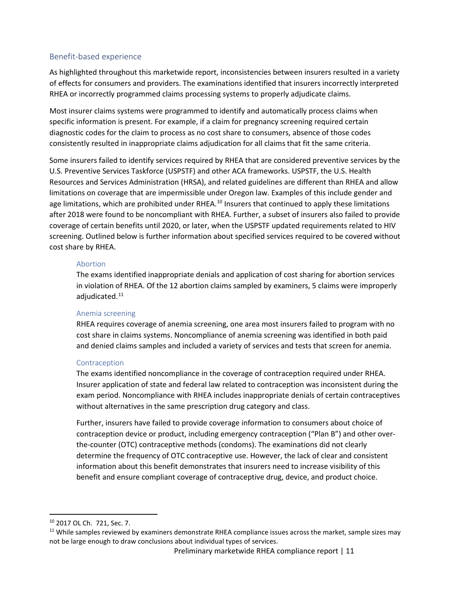#### <span id="page-10-0"></span>Benefit-based experience

As highlighted throughout this marketwide report, inconsistencies between insurers resulted in a variety of effects for consumers and providers. The examinations identified that insurers incorrectly interpreted RHEA or incorrectly programmed claims processing systems to properly adjudicate claims.

Most insurer claims systems were programmed to identify and automatically process claims when specific information is present. For example, if a claim for pregnancy screening required certain diagnostic codes for the claim to process as no cost share to consumers, absence of those codes consistently resulted in inappropriate claims adjudication for all claims that fit the same criteria.

Some insurers failed to identify services required by RHEA that are considered preventive services by the U.S. Preventive Services Taskforce (USPSTF) and other ACA frameworks. USPSTF, the U.S. Health Resources and Services Administration (HRSA), and related guidelines are different than RHEA and allow limitations on coverage that are impermissible under Oregon law. Examples of this include gender and age limitations, which are prohibited under RHEA.<sup>[10](#page-10-1)</sup> Insurers that continued to apply these limitations after 2018 were found to be noncompliant with RHEA. Further, a subset of insurers also failed to provide coverage of certain benefits until 2020, or later, when the USPSTF updated requirements related to HIV screening. Outlined below is further information about specified services required to be covered without cost share by RHEA.

#### Abortion

The exams identified inappropriate denials and application of cost sharing for abortion services in violation of RHEA. Of the 12 abortion claims sampled by examiners, 5 claims were improperly adjudicated. [11](#page-10-2)

#### Anemia screening

RHEA requires coverage of anemia screening, one area most insurers failed to program with no cost share in claims systems. Noncompliance of anemia screening was identified in both paid and denied claims samples and included a variety of services and tests that screen for anemia.

#### Contraception

The exams identified noncompliance in the coverage of contraception required under RHEA. Insurer application of state and federal law related to contraception was inconsistent during the exam period. Noncompliance with RHEA includes inappropriate denials of certain contraceptives without alternatives in the same prescription drug category and class.

Further, insurers have failed to provide coverage information to consumers about choice of contraception device or product, including emergency contraception ("Plan B") and other overthe-counter (OTC) contraceptive methods (condoms). The examinations did not clearly determine the frequency of OTC contraceptive use. However, the lack of clear and consistent information about this benefit demonstrates that insurers need to increase visibility of this benefit and ensure compliant coverage of contraceptive drug, device, and product choice.

<span id="page-10-2"></span><span id="page-10-1"></span><sup>&</sup>lt;sup>10</sup> 2017 OL Ch. 721, Sec. 7.<br><sup>11</sup> While samples reviewed by examiners demonstrate RHEA compliance issues across the market, sample sizes may not be large enough to draw conclusions about individual types of services.

Preliminary marketwide RHEA compliance report | 11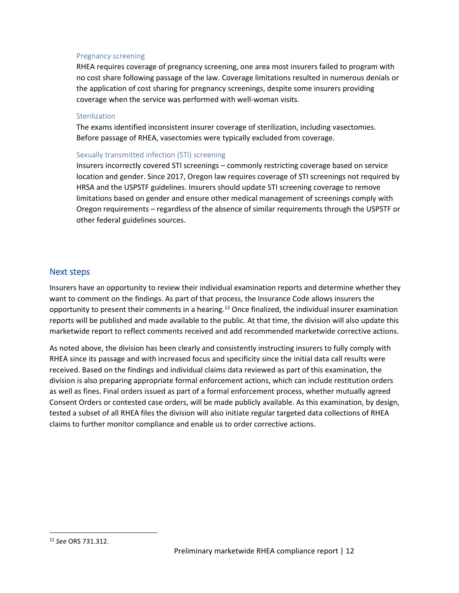#### Pregnancy screening

RHEA requires coverage of pregnancy screening, one area most insurers failed to program with no cost share following passage of the law. Coverage limitations resulted in numerous denials or the application of cost sharing for pregnancy screenings, despite some insurers providing coverage when the service was performed with well-woman visits.

#### Sterilization

The exams identified inconsistent insurer coverage of sterilization, including vasectomies. Before passage of RHEA, vasectomies were typically excluded from coverage.

#### Sexually transmitted infection (STI) screening

Insurers incorrectly covered STI screenings – commonly restricting coverage based on service location and gender. Since 2017, Oregon law requires coverage of STI screenings not required by HRSA and the USPSTF guidelines. Insurers should update STI screening coverage to remove limitations based on gender and ensure other medical management of screenings comply with Oregon requirements – regardless of the absence of similar requirements through the USPSTF or other federal guidelines sources.

#### <span id="page-11-0"></span>Next steps

Insurers have an opportunity to review their individual examination reports and determine whether they want to comment on the findings. As part of that process, the Insurance Code allows insurers the opportunity to present their comments in a hearing.<sup>[12](#page-11-1)</sup> Once finalized, the individual insurer examination reports will be published and made available to the public. At that time, the division will also update this marketwide report to reflect comments received and add recommended marketwide corrective actions.

As noted above, the division has been clearly and consistently instructing insurers to fully comply with RHEA since its passage and with increased focus and specificity since the initial data call results were received. Based on the findings and individual claims data reviewed as part of this examination, the division is also preparing appropriate formal enforcement actions, which can include restitution orders as well as fines. Final orders issued as part of a formal enforcement process, whether mutually agreed Consent Orders or contested case orders, will be made publicly available. As this examination, by design, tested a subset of all RHEA files the division will also initiate regular targeted data collections of RHEA claims to further monitor compliance and enable us to order corrective actions.

<span id="page-11-1"></span> <sup>12</sup> *See* ORS 731.312.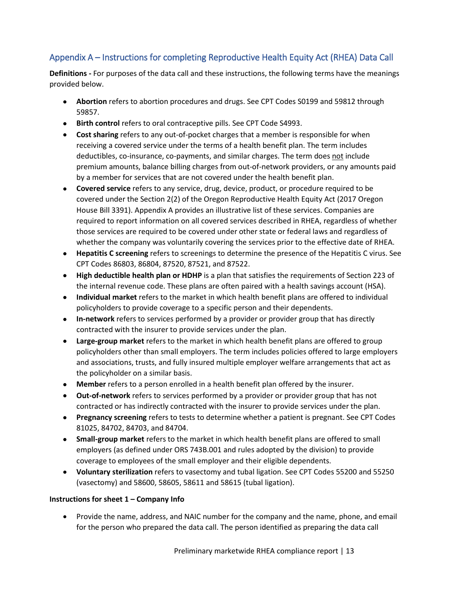# <span id="page-12-0"></span>Appendix A – Instructions for completing Reproductive Health Equity Act (RHEA) Data Call

**Definitions -** For purposes of the data call and these instructions, the following terms have the meanings provided below.

- **Abortion** refers to abortion procedures and drugs. See CPT Codes S0199 and 59812 through 59857.
- **Birth control** refers to oral contraceptive pills. See CPT Code S4993.
- **Cost sharing** refers to any out-of-pocket charges that a member is responsible for when receiving a covered service under the terms of a health benefit plan. The term includes deductibles, co-insurance, co-payments, and similar charges. The term does not include premium amounts, balance billing charges from out-of-network providers, or any amounts paid by a member for services that are not covered under the health benefit plan.
- **Covered service** refers to any service, drug, device, product, or procedure required to be covered under the Section 2(2) of the Oregon Reproductive Health Equity Act (2017 Oregon House Bill 3391). Appendix A provides an illustrative list of these services. Companies are required to report information on all covered services described in RHEA, regardless of whether those services are required to be covered under other state or federal laws and regardless of whether the company was voluntarily covering the services prior to the effective date of RHEA.
- **Hepatitis C screening** refers to screenings to determine the presence of the Hepatitis C virus. See CPT Codes 86803, 86804, 87520, 87521, and 87522.
- **High deductible health plan or HDHP** is a plan that satisfies the requirements of Section 223 of the internal revenue code. These plans are often paired with a health savings account (HSA).
- **Individual market** refers to the market in which health benefit plans are offered to individual policyholders to provide coverage to a specific person and their dependents.
- **In-network** refers to services performed by a provider or provider group that has directly contracted with the insurer to provide services under the plan.
- **Large-group market** refers to the market in which health benefit plans are offered to group policyholders other than small employers. The term includes policies offered to large employers and associations, trusts, and fully insured multiple employer welfare arrangements that act as the policyholder on a similar basis.
- **Member** refers to a person enrolled in a health benefit plan offered by the insurer.
- **Out-of-network** refers to services performed by a provider or provider group that has not contracted or has indirectly contracted with the insurer to provide services under the plan.
- **Pregnancy screening** refers to tests to determine whether a patient is pregnant. See CPT Codes 81025, 84702, 84703, and 84704.
- **Small-group market** refers to the market in which health benefit plans are offered to small employers (as defined under ORS 743B.001 and rules adopted by the division) to provide coverage to employees of the small employer and their eligible dependents.
- **Voluntary sterilization** refers to vasectomy and tubal ligation. See CPT Codes 55200 and 55250 (vasectomy) and 58600, 58605, 58611 and 58615 (tubal ligation).

#### **Instructions for sheet 1 – Company Info**

• Provide the name, address, and NAIC number for the company and the name, phone, and email for the person who prepared the data call. The person identified as preparing the data call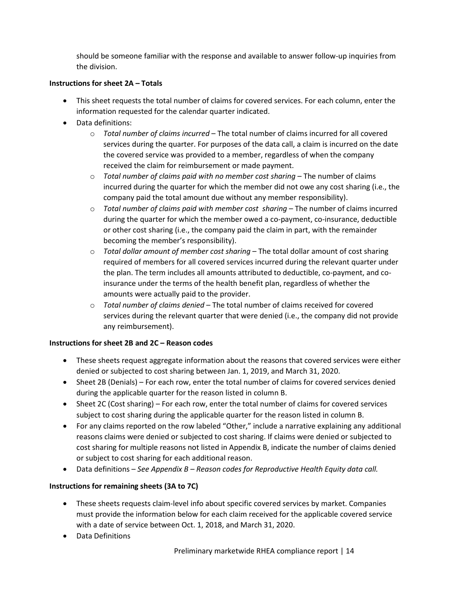should be someone familiar with the response and available to answer follow-up inquiries from the division.

#### **Instructions for sheet 2A – Totals**

- This sheet requests the total number of claims for covered services. For each column, enter the information requested for the calendar quarter indicated.
- Data definitions:
	- o *Total number of claims incurred* The total number of claims incurred for all covered services during the quarter. For purposes of the data call, a claim is incurred on the date the covered service was provided to a member, regardless of when the company received the claim for reimbursement or made payment.
	- o *Total number of claims paid with no member cost sharing* The number of claims incurred during the quarter for which the member did not owe any cost sharing (i.e., the company paid the total amount due without any member responsibility).
	- o *Total number of claims paid with member cost sharing* The number of claims incurred during the quarter for which the member owed a co-payment, co-insurance, deductible or other cost sharing (i.e., the company paid the claim in part, with the remainder becoming the member's responsibility).
	- o *Total dollar amount of member cost sharing* The total dollar amount of cost sharing required of members for all covered services incurred during the relevant quarter under the plan. The term includes all amounts attributed to deductible, co-payment, and coinsurance under the terms of the health benefit plan, regardless of whether the amounts were actually paid to the provider.
	- o *Total number of claims denied* The total number of claims received for covered services during the relevant quarter that were denied (i.e., the company did not provide any reimbursement).

#### **Instructions for sheet 2B and 2C – Reason codes**

- These sheets request aggregate information about the reasons that covered services were either denied or subjected to cost sharing between Jan. 1, 2019, and March 31, 2020.
- Sheet 2B (Denials) For each row, enter the total number of claims for covered services denied during the applicable quarter for the reason listed in column B.
- Sheet 2C (Cost sharing) For each row, enter the total number of claims for covered services subject to cost sharing during the applicable quarter for the reason listed in column B.
- For any claims reported on the row labeled "Other," include a narrative explaining any additional reasons claims were denied or subjected to cost sharing. If claims were denied or subjected to cost sharing for multiple reasons not listed in Appendix B, indicate the number of claims denied or subject to cost sharing for each additional reason.
- Data definitions *See Appendix B – Reason codes for Reproductive Health Equity data call.*

#### **Instructions for remaining sheets (3A to 7C)**

- These sheets requests claim-level info about specific covered services by market. Companies must provide the information below for each claim received for the applicable covered service with a date of service between Oct. 1, 2018, and March 31, 2020.
- Data Definitions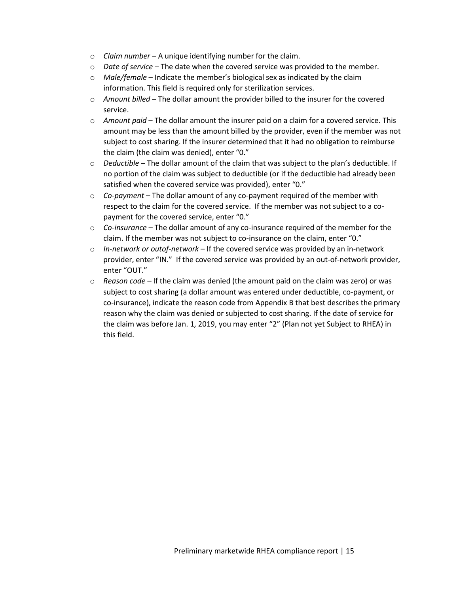- o *Claim number* A unique identifying number for the claim.
- o *Date of service* The date when the covered service was provided to the member.
- o *Male/female* Indicate the member's biological sex as indicated by the claim information. This field is required only for sterilization services.
- o *Amount billed* The dollar amount the provider billed to the insurer for the covered service.
- o *Amount paid* The dollar amount the insurer paid on a claim for a covered service. This amount may be less than the amount billed by the provider, even if the member was not subject to cost sharing. If the insurer determined that it had no obligation to reimburse the claim (the claim was denied), enter "0."
- o *Deductible* The dollar amount of the claim that was subject to the plan's deductible. If no portion of the claim was subject to deductible (or if the deductible had already been satisfied when the covered service was provided), enter "0."
- o *Co-payment* The dollar amount of any co-payment required of the member with respect to the claim for the covered service. If the member was not subject to a copayment for the covered service, enter "0."
- o *Co-insurance*  The dollar amount of any co-insurance required of the member for the claim. If the member was not subject to co-insurance on the claim, enter "0."
- o *In-network or outof-network* If the covered service was provided by an in-network provider, enter "IN." If the covered service was provided by an out-of-network provider, enter "OUT."
- o *Reason code –* If the claim was denied (the amount paid on the claim was zero) or was subject to cost sharing (a dollar amount was entered under deductible, co-payment, or co-insurance), indicate the reason code from Appendix B that best describes the primary reason why the claim was denied or subjected to cost sharing. If the date of service for the claim was before Jan. 1, 2019, you may enter "2" (Plan not yet Subject to RHEA) in this field.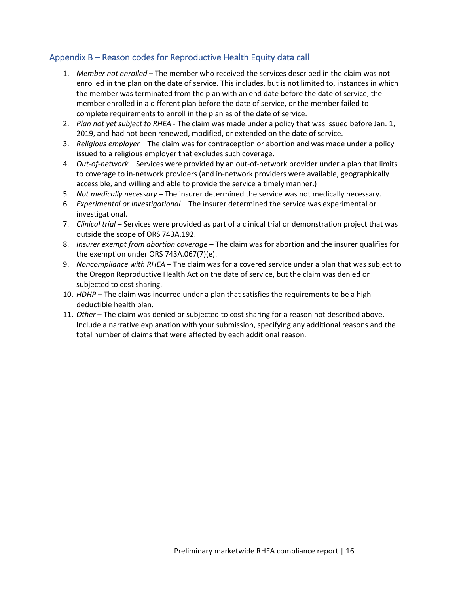## <span id="page-15-0"></span>Appendix B – Reason codes for Reproductive Health Equity data call

- 1. *Member not enrolled* The member who received the services described in the claim was not enrolled in the plan on the date of service. This includes, but is not limited to, instances in which the member was terminated from the plan with an end date before the date of service, the member enrolled in a different plan before the date of service, or the member failed to complete requirements to enroll in the plan as of the date of service.
- 2. *Plan not yet subject to RHEA*  The claim was made under a policy that was issued before Jan. 1, 2019, and had not been renewed, modified, or extended on the date of service.
- 3. *Religious employer* The claim was for contraception or abortion and was made under a policy issued to a religious employer that excludes such coverage.
- 4. *Out-of-network –* Services were provided by an out-of-network provider under a plan that limits to coverage to in-network providers (and in-network providers were available, geographically accessible, and willing and able to provide the service a timely manner.)
- 5. *Not medically necessary* The insurer determined the service was not medically necessary.
- 6. *Experimental or investigational* The insurer determined the service was experimental or investigational.
- 7. *Clinical trial* Services were provided as part of a clinical trial or demonstration project that was outside the scope of ORS 743A.192.
- 8. *Insurer exempt from abortion coverage* The claim was for abortion and the insurer qualifies for the exemption under ORS 743A.067(7)(e).
- 9. *Noncompliance with RHEA*  The claim was for a covered service under a plan that was subject to the Oregon Reproductive Health Act on the date of service, but the claim was denied or subjected to cost sharing.
- 10. *HDHP*  The claim was incurred under a plan that satisfies the requirements to be a high deductible health plan.
- 11. *Other* The claim was denied or subjected to cost sharing for a reason not described above. Include a narrative explanation with your submission, specifying any additional reasons and the total number of claims that were affected by each additional reason.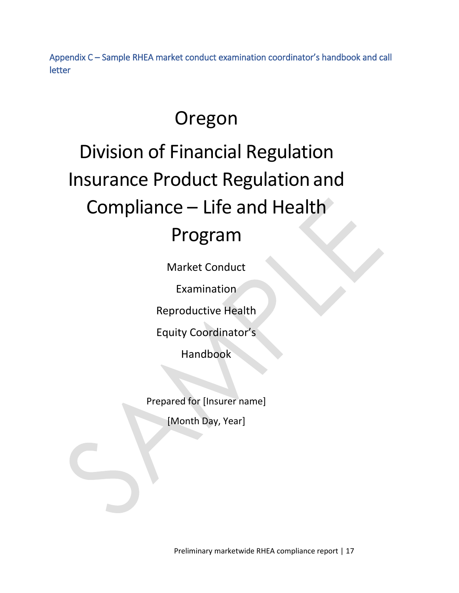<span id="page-16-0"></span>Appendix C – Sample RHEA market conduct examination coordinator's handbook and call letter

# Oregon

# Division of Financial Regulation Insurance Product Regulation and Compliance – Life and Health

# Program

Market Conduct

Examination

Reproductive Health

Equity Coordinator's

Handbook

Prepared for [Insurer name]

[Month Day, Year]

Preliminary marketwide RHEA compliance report | 17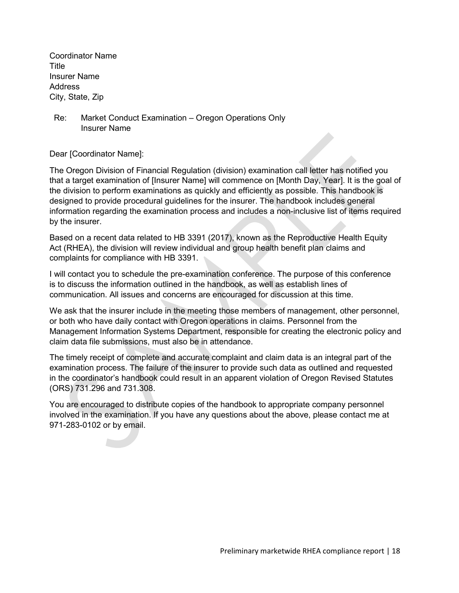Coordinator Name Title Insurer Name Address City, State, Zip

Re: Market Conduct Examination – Oregon Operations Only Insurer Name

Dear [Coordinator Name]:

The Oregon Division of Financial Regulation (division) examination call letter has notified you that a target examination of [Insurer Name] will commence on [Month Day, Year]. It is the goal of the division to perform examinations as quickly and efficiently as possible. This handbook is designed to provide procedural guidelines for the insurer. The handbook includes general information regarding the examination process and includes a non-inclusive list of items required by the insurer.

Based on a recent data related to HB 3391 (2017), known as the Reproductive Health Equity Act (RHEA), the division will review individual and group health benefit plan claims and complaints for compliance with HB 3391.

I will contact you to schedule the pre-examination conference. The purpose of this conference is to discuss the information outlined in the handbook, as well as establish lines of communication. All issues and concerns are encouraged for discussion at this time.

We ask that the insurer include in the meeting those members of management, other personnel, or both who have daily contact with Oregon operations in claims. Personnel from the Management Information Systems Department, responsible for creating the electronic policy and claim data file submissions, must also be in attendance.

The timely receipt of complete and accurate complaint and claim data is an integral part of the examination process. The failure of the insurer to provide such data as outlined and requested in the coordinator's handbook could result in an apparent violation of Oregon Revised Statutes (ORS) 731.296 and 731.308.

You are encouraged to distribute copies of the handbook to appropriate company personnel involved in the examination. If you have any questions about the above, please contact me at 971-283-0102 or by email.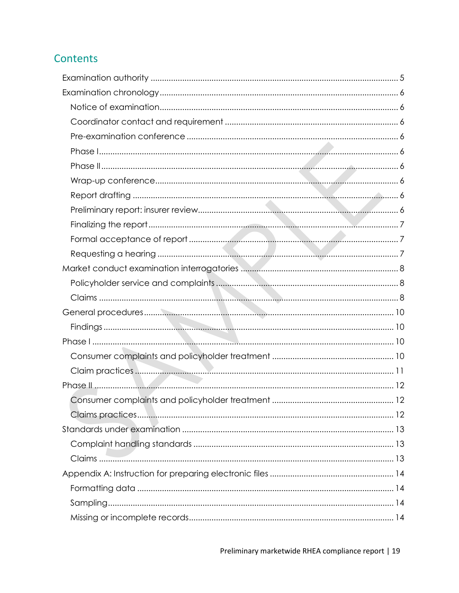# Contents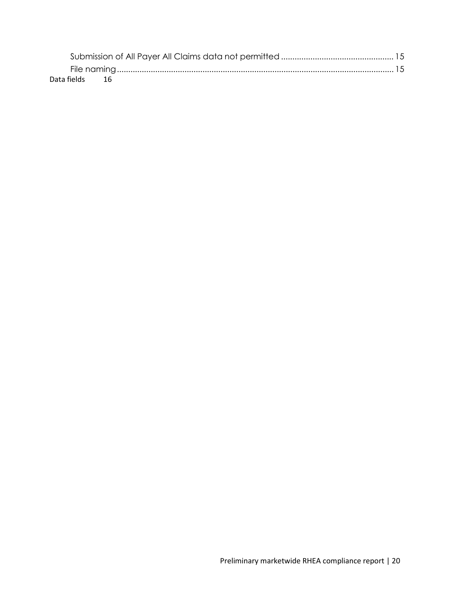| Data fields 16 |  |  |  |  |  |  |  |
|----------------|--|--|--|--|--|--|--|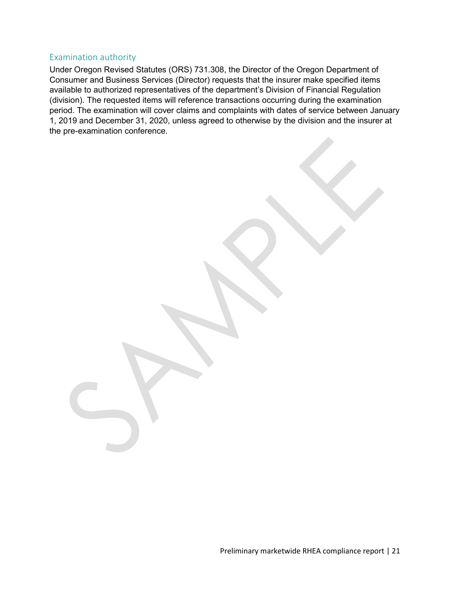#### <span id="page-20-0"></span>Examination authority

Under Oregon Revised Statutes (ORS) 731.308, the Director of the Oregon Department of Consumer and Business Services (Director) requests that the insurer make specified items available to authorized representatives of the department's Division of Financial Regulation (division). The requested items will reference transactions occurring during the examination period. The examination will cover claims and complaints with dates of service between January 1, 2019 and December 31, 2020, unless agreed to otherwise by the division and the insurer at the pre-examination conference.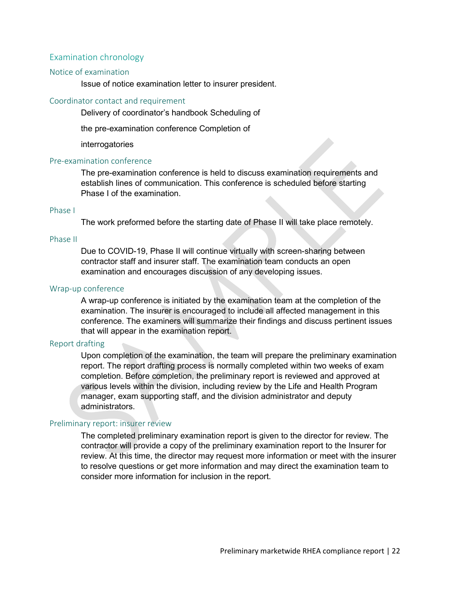#### <span id="page-21-0"></span>Examination chronology

#### <span id="page-21-1"></span>Notice of examination

Issue of notice examination letter to insurer president.

#### <span id="page-21-2"></span>Coordinator contact and requirement

Delivery of coordinator's handbook Scheduling of

the pre-examination conference Completion of

interrogatories

#### <span id="page-21-3"></span>Pre-examination conference

The pre-examination conference is held to discuss examination requirements and establish lines of communication. This conference is scheduled before starting Phase I of the examination.

#### <span id="page-21-4"></span>Phase I

The work preformed before the starting date of Phase II will take place remotely.

#### <span id="page-21-5"></span>Phase II

Due to COVID-19, Phase II will continue virtually with screen-sharing between contractor staff and insurer staff. The examination team conducts an open examination and encourages discussion of any developing issues.

#### <span id="page-21-6"></span>Wrap-up conference

A wrap-up conference is initiated by the examination team at the completion of the examination. The insurer is encouraged to include all affected management in this conference. The examiners will summarize their findings and discuss pertinent issues that will appear in the examination report.

#### <span id="page-21-7"></span>Report drafting

Upon completion of the examination, the team will prepare the preliminary examination report. The report drafting process is normally completed within two weeks of exam completion. Before completion, the preliminary report is reviewed and approved at various levels within the division, including review by the Life and Health Program manager, exam supporting staff, and the division administrator and deputy administrators.

#### <span id="page-21-8"></span>Preliminary report: insurer review

The completed preliminary examination report is given to the director for review. The contractor will provide a copy of the preliminary examination report to the Insurer for review. At this time, the director may request more information or meet with the insurer to resolve questions or get more information and may direct the examination team to consider more information for inclusion in the report.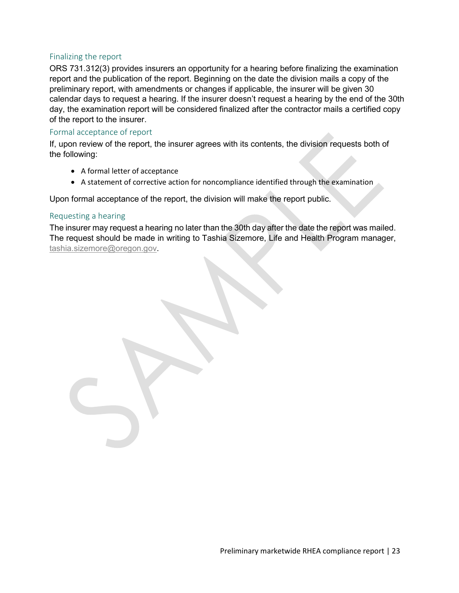#### <span id="page-22-0"></span>Finalizing the report

ORS 731.312(3) provides insurers an opportunity for a hearing before finalizing the examination report and the publication of the report. Beginning on the date the division mails a copy of the preliminary report, with amendments or changes if applicable, the insurer will be given 30 calendar days to request a hearing. If the insurer doesn't request a hearing by the end of the 30th day, the examination report will be considered finalized after the contractor mails a certified copy of the report to the insurer.

#### <span id="page-22-1"></span>Formal acceptance of report

If, upon review of the report, the insurer agrees with its contents, the division requests both of the following:

- A formal letter of acceptance
- A statement of corrective action for noncompliance identified through the examination

Upon formal acceptance of the report, the division will make the report public.

#### <span id="page-22-2"></span>Requesting a hearing

The insurer may request a hearing no later than the 30th day after the date the report was mailed. The request should be made in writing to Tashia Sizemore, Life and Health Program manager, [tashia.sizemore@oregon.gov.](mailto:tashia.sizemore@oregon.gov)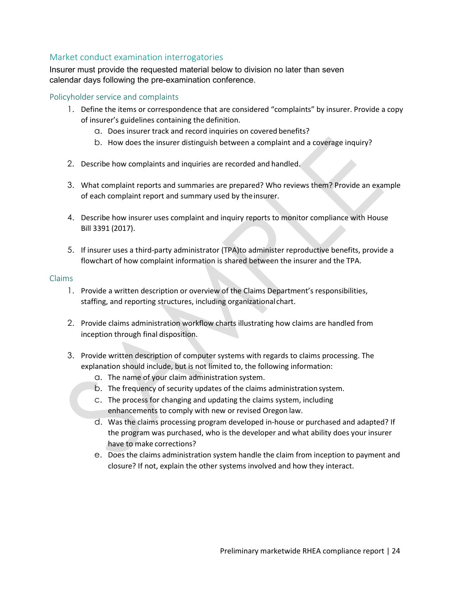### <span id="page-23-0"></span>Market conduct examination interrogatories

Insurer must provide the requested material below to division no later than seven calendar days following the pre-examination conference.

#### <span id="page-23-1"></span>Policyholder service and complaints

- 1. Define the items or correspondence that are considered "complaints" by insurer. Provide a copy of insurer's guidelines containing the definition.
	- a. Does insurer track and record inquiries on covered benefits?
	- b. How does the insurer distinguish between a complaint and a coverage inquiry?
- 2. Describe how complaints and inquiries are recorded and handled.
- 3. What complaint reports and summaries are prepared? Who reviews them? Provide an example of each complaint report and summary used by theinsurer.
- 4. Describe how insurer uses complaint and inquiry reports to monitor compliance with House Bill 3391 (2017).
- 5. If insurer uses a third-party administrator (TPA)to administer reproductive benefits, provide a flowchart of how complaint information is shared between the insurer and the TPA.

#### <span id="page-23-2"></span>Claims

- 1. Provide a written description or overview of the Claims Department's responsibilities, staffing, and reporting structures, including organizationalchart.
- 2. Provide claims administration workflow charts illustrating how claims are handled from inception through final disposition.
- 3. Provide written description of computer systems with regards to claims processing. The explanation should include, but is not limited to, the following information:
	- a. The name of your claim administration system.
	- b. The frequency of security updates of the claims administration system.
	- c. The process for changing and updating the claims system, including enhancements to comply with new or revised Oregon law.
	- d. Was the claims processing program developed in-house or purchased and adapted? If the program was purchased, who is the developer and what ability does your insurer have to make corrections?
	- e. Does the claims administration system handle the claim from inception to payment and closure? If not, explain the other systems involved and how they interact.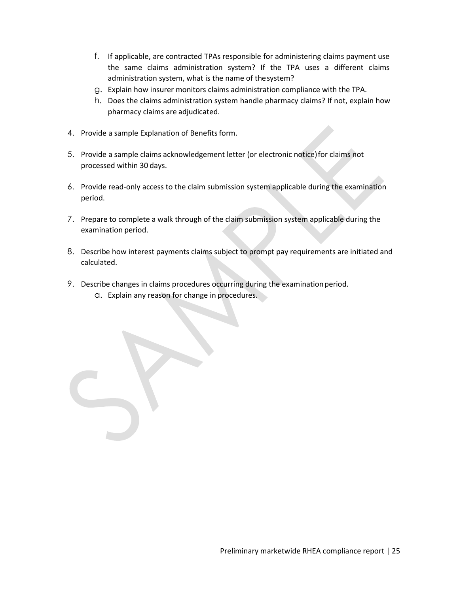- f. If applicable, are contracted TPAs responsible for administering claims payment use the same claims administration system? If the TPA uses a different claims administration system, what is the name of thesystem?
- g. Explain how insurer monitors claims administration compliance with the TPA.
- h. Does the claims administration system handle pharmacy claims? If not, explain how pharmacy claims are adjudicated.
- 4. Provide a sample Explanation of Benefits form.
- 5. Provide a sample claims acknowledgement letter (or electronic notice)for claims not processed within 30 days.
- 6. Provide read-only access to the claim submission system applicable during the examination period.
- 7. Prepare to complete a walk through of the claim submission system applicable during the examination period.
- 8. Describe how interest payments claims subject to prompt pay requirements are initiated and calculated.
- 9. Describe changes in claims procedures occurring during the examination period.
	- a. Explain any reason for change in procedures.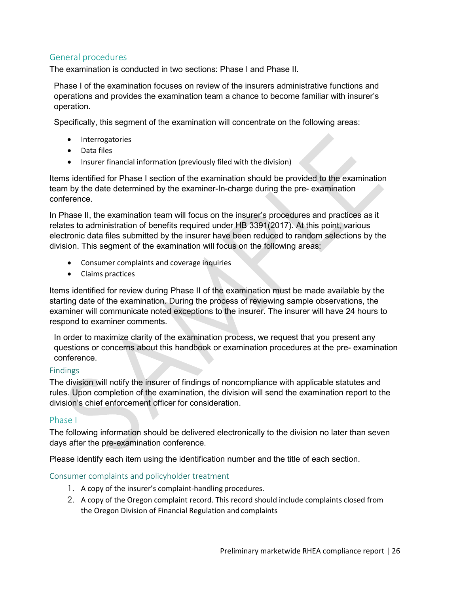## <span id="page-25-0"></span>General procedures

The examination is conducted in two sections: Phase I and Phase II.

Phase I of the examination focuses on review of the insurers administrative functions and operations and provides the examination team a chance to become familiar with insurer's operation.

Specifically, this segment of the examination will concentrate on the following areas:

- Interrogatories
- Data files
- Insurer financial information (previously filed with the division)

Items identified for Phase I section of the examination should be provided to the examination team by the date determined by the examiner-In-charge during the pre- examination conference.

In Phase II, the examination team will focus on the insurer's procedures and practices as it relates to administration of benefits required under HB 3391(2017). At this point, various electronic data files submitted by the insurer have been reduced to random selections by the division. This segment of the examination will focus on the following areas:

- Consumer complaints and coverage inquiries
- Claims practices

Items identified for review during Phase II of the examination must be made available by the starting date of the examination. During the process of reviewing sample observations, the examiner will communicate noted exceptions to the insurer. The insurer will have 24 hours to respond to examiner comments.

In order to maximize clarity of the examination process, we request that you present any questions or concerns about this handbook or examination procedures at the pre- examination conference.

#### <span id="page-25-1"></span>Findings

The division will notify the insurer of findings of noncompliance with applicable statutes and rules. Upon completion of the examination, the division will send the examination report to the division's chief enforcement officer for consideration.

#### <span id="page-25-2"></span>Phase I

The following information should be delivered electronically to the division no later than seven days after the pre-examination conference.

<span id="page-25-3"></span>Please identify each item using the identification number and the title of each section.

#### Consumer complaints and policyholder treatment

- 1. A copy of the insurer's complaint-handling procedures.
- 2. A copy of the Oregon complaint record. This record should include complaints closed from the Oregon Division of Financial Regulation and complaints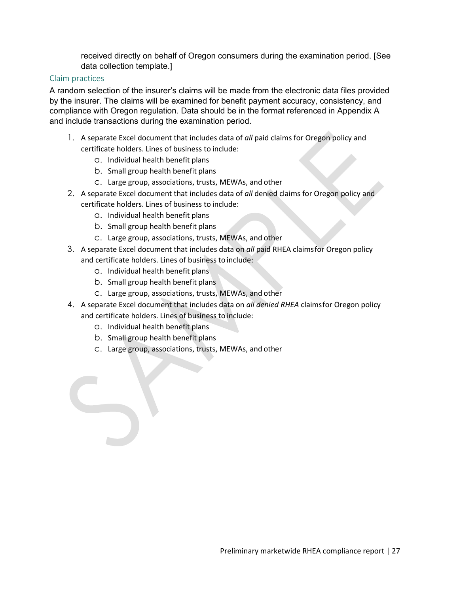received directly on behalf of Oregon consumers during the examination period. [See data collection template.]

#### <span id="page-26-0"></span>Claim practices

A random selection of the insurer's claims will be made from the electronic data files provided by the insurer. The claims will be examined for benefit payment accuracy, consistency, and compliance with Oregon regulation. Data should be in the format referenced in Appendix A and include transactions during the examination period.

- 1. A separate Excel document that includes data of *all* paid claims for Oregon policy and certificate holders. Lines of business to include:
	- a. Individual health benefit plans
	- b. Small group health benefit plans
	- c. Large group, associations, trusts, MEWAs, and other
- 2. A separate Excel document that includes data of *all* denied claims for Oregon policy and certificate holders. Lines of business to include:
	- a. Individual health benefit plans
	- b. Small group health benefit plans
	- c. Large group, associations, trusts, MEWAs, and other
- 3. A separate Excel document that includes data on *all* paid RHEA claimsfor Oregon policy and certificate holders. Lines of business to include:
	- a. Individual health benefit plans
	- b. Small group health benefit plans
	- c. Large group, associations, trusts, MEWAs, and other
- 4. A separate Excel document that includes data on *all denied RHEA* claimsfor Oregon policy and certificate holders. Lines of business to include:
	- a. Individual health benefit plans
	- b. Small group health benefit plans
	- c. Large group, associations, trusts, MEWAs, and other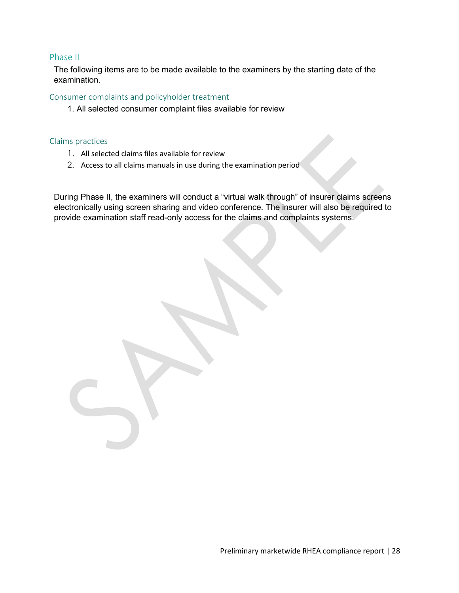#### <span id="page-27-0"></span>Phase II

The following items are to be made available to the examiners by the starting date of the examination.

<span id="page-27-1"></span>Consumer complaints and policyholder treatment

1. All selected consumer complaint files available for review

#### <span id="page-27-2"></span>Claims practices

- 1. All selected claims files available for review
- 2. Access to all claims manuals in use during the examination period

During Phase II, the examiners will conduct a "virtual walk through" of insurer claims screens electronically using screen sharing and video conference. The insurer will also be required to provide examination staff read-only access for the claims and complaints systems.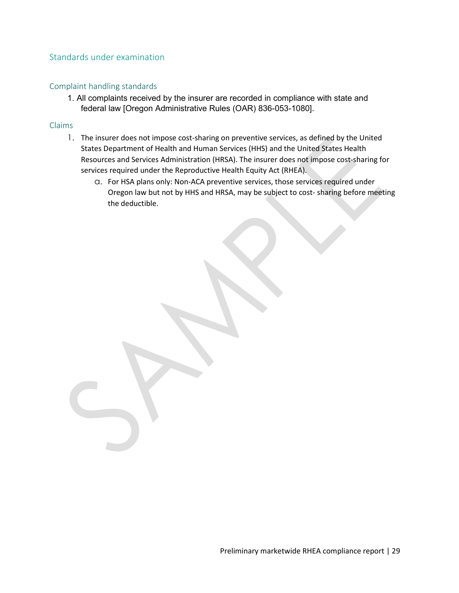### <span id="page-28-0"></span>Standards under examination

#### <span id="page-28-1"></span>Complaint handling standards

1. All complaints received by the insurer are recorded in compliance with state and federal law [Oregon Administrative Rules (OAR) 836-053-1080].

#### <span id="page-28-2"></span>Claims

- 1. The insurer does not impose cost-sharing on preventive services, as defined by the United States Department of Health and Human Services (HHS) and the United States Health Resources and Services Administration (HRSA). The insurer does not impose cost-sharing for services required under the Reproductive Health Equity Act (RHEA).
	- a. For HSA plans only: Non-ACA preventive services, those services required under Oregon law but not by HHS and HRSA, may be subject to cost- sharing before meeting the deductible.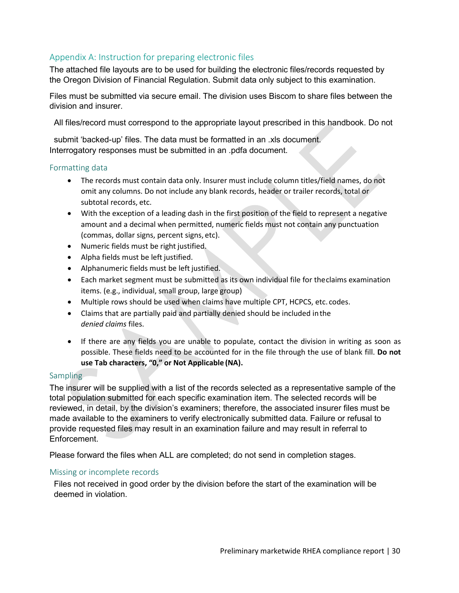# <span id="page-29-0"></span>Appendix A: Instruction for preparing electronic files

The attached file layouts are to be used for building the electronic files/records requested by the Oregon Division of Financial Regulation. Submit data only subject to this examination.

Files must be submitted via secure email. The division uses Biscom to share files between the division and insurer.

All files/record must correspond to the appropriate layout prescribed in this handbook. Do not

submit 'backed-up' files. The data must be formatted in an .xls document. Interrogatory responses must be submitted in an .pdfa document.

#### <span id="page-29-1"></span>Formatting data

- The records must contain data only. Insurer must include column titles/field names, do not omit any columns. Do not include any blank records, header or trailer records, total or subtotal records, etc.
- With the exception of a leading dash in the first position of the field to represent a negative amount and a decimal when permitted, numeric fields must not contain any punctuation (commas, dollar signs, percent signs, etc).
- Numeric fields must be right justified.
- Alpha fields must be left justified.
- Alphanumeric fields must be left justified.
- Each market segment must be submitted as its own individual file for theclaims examination items. (e.g., individual, small group, large group)
- Multiple rows should be used when claims have multiple CPT, HCPCS, etc. codes.
- Claims that are partially paid and partially denied should be included inthe *denied claims* files.
- If there are any fields you are unable to populate, contact the division in writing as soon as possible. These fields need to be accounted for in the file through the use of blank fill. **Do not use Tab characters, "0," or Not Applicable (NA).**

#### <span id="page-29-2"></span>**Sampling**

The insurer will be supplied with a list of the records selected as a representative sample of the total population submitted for each specific examination item. The selected records will be reviewed, in detail, by the division's examiners; therefore, the associated insurer files must be made available to the examiners to verify electronically submitted data. Failure or refusal to provide requested files may result in an examination failure and may result in referral to Enforcement.

Please forward the files when ALL are completed; do not send in completion stages.

#### <span id="page-29-3"></span>Missing or incomplete records

Files not received in good order by the division before the start of the examination will be deemed in violation.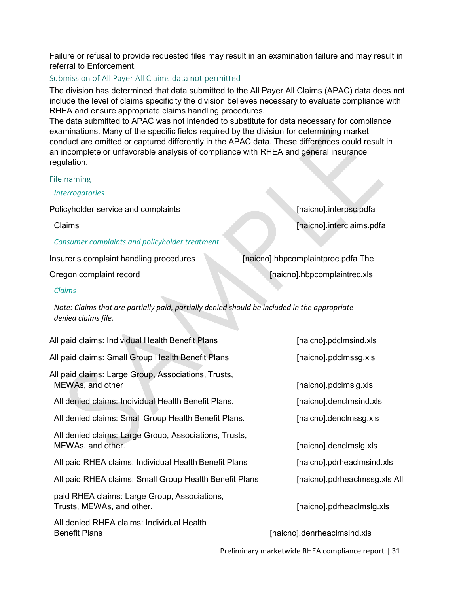Failure or refusal to provide requested files may result in an examination failure and may result in referral to Enforcement.

#### <span id="page-30-0"></span>Submission of All Payer All Claims data not permitted

The division has determined that data submitted to the All Payer All Claims (APAC) data does not include the level of claims specificity the division believes necessary to evaluate compliance with RHEA and ensure appropriate claims handling procedures.

The data submitted to APAC was not intended to substitute for data necessary for compliance examinations. Many of the specific fields required by the division for determining market conduct are omitted or captured differently in the APAC data. These differences could result in an incomplete or unfavorable analysis of compliance with RHEA and general insurance regulation.

#### <span id="page-30-1"></span>File naming

*Interrogatories*

Policyholder service and complaints **[11] Policyholder service and complaints [12] Policyholder service** and complaints **[12] Policyholder service** and complaints **[12] Policyholder service** and complaints **[12]** 

*Consumer complaints and policyholder treatment*

Insurer's complaint handling procedures [naicno].hbpcomplaintproc.pdfa The

Claims [naicno].interclaims.pdfa

Oregon complaint record **complaint record complaintiec.** The complaintiec. Also complaintiec. Also complainties

*Claims*

*Note: Claims that are partially paid, partially denied should be included in the appropriate denied claims file.*

All paid claims: Individual Health Benefit Plans [naicno].pdclmsind.xls All paid claims: Small Group Health Benefit Plans [naicno].pdclmssg.xls All paid claims: Large Group, Associations, Trusts, MEWAs, and other **EXAMPLE 2008** CONSULTER  $\blacksquare$  [naicno].pdclmslg.xls All denied claims: Individual Health Benefit Plans. [naicno].denclmsind.xls All denied claims: Small Group Health Benefit Plans. [naicno].denclmssg.xls All denied claims: Large Group, Associations, Trusts, MEWAs, and other. **Example 20** is a set of the control of the control of the fraicno].denclmslg.xls All paid RHEA claims: Individual Health Benefit Plans [naicno].pdrheaclmsind.xls All paid RHEA claims: Small Group Health Benefit Plans [naicno].pdrheaclmssg.xls All paid RHEA claims: Large Group, Associations,

All denied RHEA claims: Individual Health Benefit Plans **Exercise 2.1 Construction** Change in the Indian Change of The Indian Change in the Indian Change in the Indian Change of The Indian Change in the Indian Change in the Indian Change of The Indian Change in th

Trusts, MEWAs, and other. Trusts, MEWAs, and other.

Preliminary marketwide RHEA compliance report | 31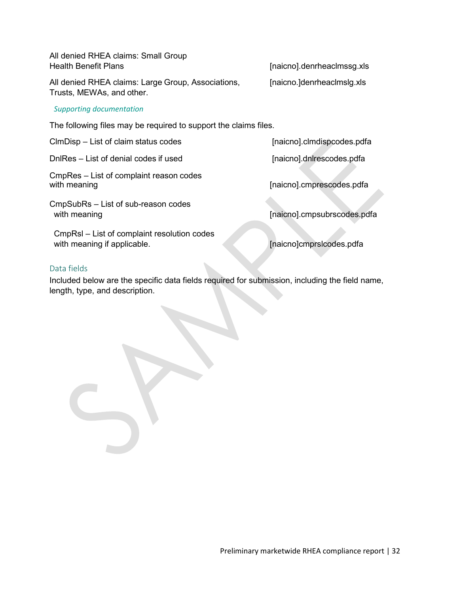All denied RHEA claims: Small Group Health Benefit Plans **and Europe and Secure 2018** [naicno].denrheaclmssg.xls

All denied RHEA claims: Large Group, Associations, [naicno.]denrheaclmslg.xls Trusts, MEWAs, and other.

#### *Supporting documentation*

The following files may be required to support the claims files.

ClmDisp – List of claim status codes [naicno].clmdispcodes.pdfa

DnlRes – List of denial codes if used [naicno].dnlrescodes.pdfa

CmpRes – List of complaint reason codes

CmpSubRs – List of sub-reason codes with meaning with meaning with meaning  $[naicon]$ .cmpsubrscodes.pdfa

CmpRsl – List of complaint resolution codes with meaning if applicable. **Example 20 and 10 and 10 and 10 and 10 and 10 and 10 and 10 and 10 and 10 and 10 and 10 and 10 and 10 and 10 and 10 and 10 and 10 and 10 and 10 and 10 and 10 and 10 and 10 and 10 and 10 and 10** 

[naicno].cmprescodes.pdfa

#### <span id="page-31-0"></span>Data fields

Included below are the specific data fields required for submission, including the field name, length, type, and description.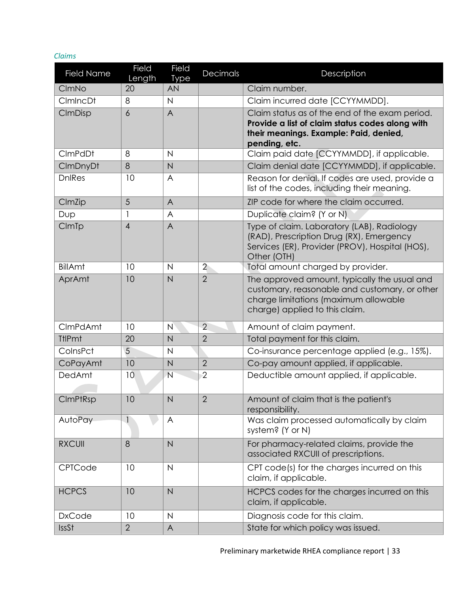#### *Claims*

| <b>Field Name</b> | Field<br>Length | <b>Field</b><br><b>Type</b> | Decimals       | Description                                                                                                                                                              |
|-------------------|-----------------|-----------------------------|----------------|--------------------------------------------------------------------------------------------------------------------------------------------------------------------------|
| CImNo             | 20              | <b>AN</b>                   |                | Claim number.                                                                                                                                                            |
| <b>CImIncDt</b>   | 8               | $\mathsf{N}$                |                | Claim incurred date [CCYYMMDD].                                                                                                                                          |
| CImDisp           | 6               | $\overline{A}$              |                | Claim status as of the end of the exam period.<br>Provide a list of claim status codes along with<br>their meanings. Example: Paid, denied,<br>pending, etc.             |
| CImPdDt           | 8               | $\mathsf{N}$                |                | Claim paid date [CCYYMMDD], if applicable.                                                                                                                               |
| CImDnyDt          | 8               | $\overline{N}$              |                | Claim denial date [CCYYMMDD], if applicable.                                                                                                                             |
| <b>DnlRes</b>     | 10              | A                           |                | Reason for denial. If codes are used, provide a<br>list of the codes, including their meaning.                                                                           |
| CImZip            | 5               | A                           |                | ZIP code for where the claim occurred.                                                                                                                                   |
| Dup               |                 | A                           |                | Duplicate claim? (Y or N)                                                                                                                                                |
| CImTp             | $\overline{4}$  | $\overline{A}$              |                | Type of claim. Laboratory (LAB), Radiology<br>(RAD), Prescription Drug (RX), Emergency<br>Services (ER), Provider (PROV), Hospital (HOS),<br>Other (OTH)                 |
| <b>BillAmt</b>    | 10              | $\mathsf{N}$                | $\overline{2}$ | Total amount charged by provider.                                                                                                                                        |
| AprAmt            | 10              | N                           | $\overline{2}$ | The approved amount, typically the usual and<br>customary, reasonable and customary, or other<br>charge limitations (maximum allowable<br>charge) applied to this claim. |
| CImPdAmt          | 10              | N                           | $\overline{2}$ | Amount of claim payment.                                                                                                                                                 |
| <b>TtlPmt</b>     | 20              | $\mathsf{N}$                | $\overline{2}$ | Total payment for this claim.                                                                                                                                            |
| ColnsPct          | 5               | $\mathsf{N}$                |                | Co-insurance percentage applied (e.g., 15%).                                                                                                                             |
| CoPayAmt          | 10              | N                           | $\overline{2}$ | Co-pay amount applied, if applicable.                                                                                                                                    |
| DedAmt            | 10              | $\overline{N}$              | $\overline{2}$ | Deductible amount applied, if applicable.                                                                                                                                |
| <b>CImPtRsp</b>   | 10              | $\mathsf{N}\xspace$         | $\overline{2}$ | Amount of claim that is the patient's<br>responsibility.                                                                                                                 |
| AutoPay           | 1               | A                           |                | Was claim processed automatically by claim<br>system? (Y or N)                                                                                                           |
| <b>RXCUII</b>     | 8               | $\overline{N}$              |                | For pharmacy-related claims, provide the<br>associated RXCUII of prescriptions.                                                                                          |
| CPTCode           | 10              | $\mathsf{N}$                |                | CPT code(s) for the charges incurred on this<br>claim, if applicable.                                                                                                    |
| <b>HCPCS</b>      | 10              | $\overline{N}$              |                | HCPCS codes for the charges incurred on this<br>claim, if applicable.                                                                                                    |
| <b>DxCode</b>     | 10              | $\mathsf{N}$                |                | Diagnosis code for this claim.                                                                                                                                           |
| <b>IssSt</b>      | $\overline{2}$  | $\mathsf{A}$                |                | State for which policy was issued.                                                                                                                                       |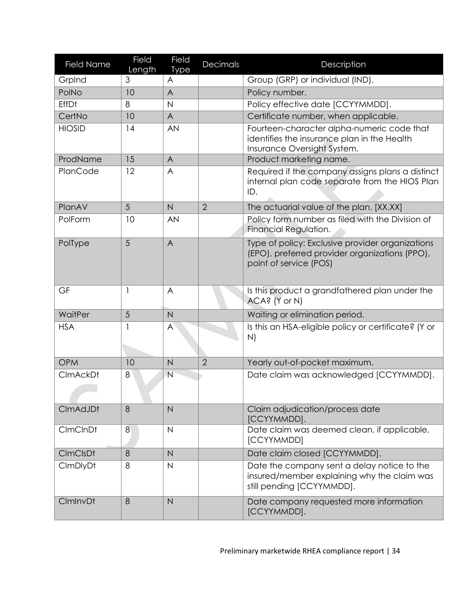| <b>Field Name</b> | <b>Field</b><br>Length | Field<br><b>Type</b>    | Decimals       | Description                                                                                                                  |
|-------------------|------------------------|-------------------------|----------------|------------------------------------------------------------------------------------------------------------------------------|
| GrpInd            | 3                      | A                       |                | Group (GRP) or individual (IND).                                                                                             |
| PolNo             | 10                     | A                       |                | Policy number.                                                                                                               |
| <b>EffDt</b>      | 8                      | $\overline{\mathsf{N}}$ |                | Policy effective date [CCYYMMDD].                                                                                            |
| CertNo            | 10                     | A                       |                | Certificate number, when applicable.                                                                                         |
| <b>HIOSID</b>     | 14                     | AN                      |                | Fourteen-character alpha-numeric code that<br>identifies the insurance plan in the Health<br>Insurance Oversight System.     |
| ProdName          | 15                     | A                       |                | Product marketing name.                                                                                                      |
| PlanCode          | 12                     | A                       |                | Required if the company assigns plans a distinct<br>internal plan code separate from the HIOS Plan<br>ID.                    |
| PlanAV            | 5                      | $\overline{N}$          | $\overline{2}$ | The actuarial value of the plan. [XX.XX]                                                                                     |
| PolForm           | 10                     | AN                      |                | Policy form number as filed with the Division of<br>Financial Regulation.                                                    |
| PolType           | 5                      | $\overline{A}$          |                | Type of policy: Exclusive provider organizations<br>(EPO), preferred provider organizations (PPO),<br>point of service (POS) |
| GF                | 1                      | A                       |                | Is this product a grandfathered plan under the<br>ACA? (Y or N)                                                              |
| WaitPer           | 5                      | $\overline{N}$          |                | Waiting or elimination period.                                                                                               |
| <b>HSA</b>        |                        | A                       |                | Is this an HSA-eligible policy or certificate? (Y or<br>N)                                                                   |
| <b>OPM</b>        | 10                     | $\overline{N}$          | $\overline{2}$ | Yearly out-of-pocket maximum.                                                                                                |
| <b>CImAckDt</b>   | 8                      | $\overline{N}$          |                | Date claim was acknowledged [CCYYMMDD].                                                                                      |
| CImAdJDt          | 8                      | $\overline{N}$          |                | Claim adjudication/process date<br>[CCYYMMDD]                                                                                |
| <b>CImCInDt</b>   | 8                      | $\mathsf{N}$            |                | Date claim was deemed clean, if applicable.<br>[CCYYMMDD]                                                                    |
| <b>CImCIsDt</b>   | 8                      | $\overline{N}$          |                | Date claim closed [CCYYMMDD].                                                                                                |
| <b>CImDlyDt</b>   | 8                      | $\mathsf{N}$            |                | Date the company sent a delay notice to the<br>insured/member explaining why the claim was<br>still pending [CCYYMMDD].      |
| CImInvDt          | 8                      | $\overline{N}$          |                | Date company requested more information<br>[CCYYMMDD].                                                                       |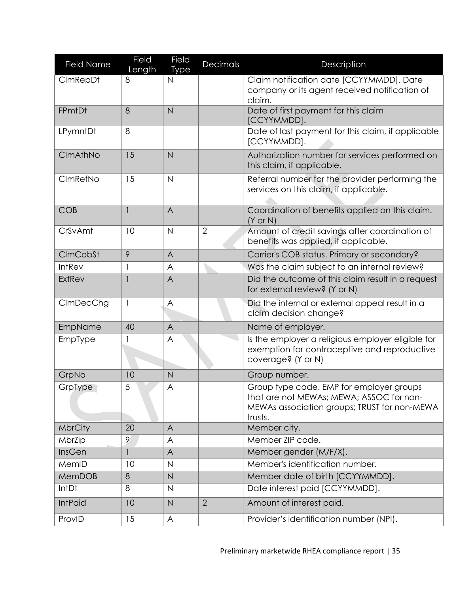| <b>Field Name</b> | Field        | Field          | Decimals       | Description                                                                                                                                     |
|-------------------|--------------|----------------|----------------|-------------------------------------------------------------------------------------------------------------------------------------------------|
|                   | Length       | <b>Type</b>    |                |                                                                                                                                                 |
| CImRepDt          | 8            | N              |                | Claim notification date [CCYYMMDD]. Date<br>company or its agent received notification of                                                       |
|                   |              |                |                | claim.                                                                                                                                          |
| FPmtDt            | 8            | N              |                | Date of first payment for this claim                                                                                                            |
|                   |              |                |                | [CCYYMMDD].                                                                                                                                     |
| LPymntDt          | 8            |                |                | Date of last payment for this claim, if applicable<br>[CCYYMMDD].                                                                               |
| CImAthNo          | 15           | N              |                | Authorization number for services performed on<br>this claim, if applicable.                                                                    |
| CImRefNo          | 15           | $\mathsf{N}$   |                | Referral number for the provider performing the<br>services on this claim, if applicable.                                                       |
| <b>COB</b>        | $\mathbf{1}$ | $\overline{A}$ |                | Coordination of benefits applied on this claim.<br>$(Y \text{ or } N)$                                                                          |
| CrSvAmt           | 10           | $\mathsf{N}$   | $\overline{2}$ | Amount of credit savings after coordination of<br>benefits was applied, if applicable.                                                          |
| CImCobSt          | 9            | $\overline{A}$ |                | Carrier's COB status. Primary or secondary?                                                                                                     |
| <b>IntRev</b>     | 1            | A              |                | Was the claim subject to an internal review?                                                                                                    |
| <b>ExtRev</b>     | $\mathbf{1}$ | A              |                | Did the outcome of this claim result in a request<br>for external review? (Y or N)                                                              |
| CImDecChg         | 1            | A              |                | Did the internal or external appeal result in a<br>claim decision change?                                                                       |
| EmpName           | 40           | $\overline{A}$ |                | Name of employer.                                                                                                                               |
| EmpType           |              | A              |                | Is the employer a religious employer eligible for<br>exemption for contraceptive and reproductive<br>coverage? (Y or N)                         |
| GrpNo             | 10           | N              |                | Group number.                                                                                                                                   |
| GrpType           | $\sqrt{5}$   | A              |                | Group type code. EMP for employer groups<br>that are not MEWAs; MEWA; ASSOC for non-<br>MEWAs association groups; TRUST for non-MEWA<br>trusts. |
| <b>MbrCity</b>    | 20           | $\overline{A}$ |                | Member city.                                                                                                                                    |
| MbrZip            | 9            | A              |                | Member ZIP code.                                                                                                                                |
| InsGen            | 1            | A              |                | Member gender (M/F/X).                                                                                                                          |
| MemID             | 10           | $\mathsf{N}$   |                | Member's identification number.                                                                                                                 |
| MemDOB            | 8            | $\overline{N}$ |                | Member date of birth [CCYYMMDD].                                                                                                                |
| IntDt             | 8            | $\mathsf{N}$   |                | Date interest paid [CCYYMMDD].                                                                                                                  |
| <b>IntPaid</b>    | 10           | $\overline{N}$ | $\overline{2}$ | Amount of interest paid.                                                                                                                        |
| ProvID            | 15           | A              |                | Provider's identification number (NPI).                                                                                                         |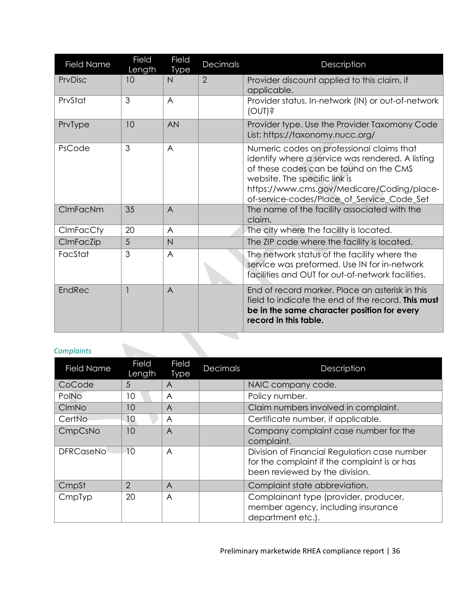| <b>Field Name</b> | Field<br>Length | Field<br><b>Type</b> | Decimals       | Description                                                                                                                                                                                                                                                          |
|-------------------|-----------------|----------------------|----------------|----------------------------------------------------------------------------------------------------------------------------------------------------------------------------------------------------------------------------------------------------------------------|
| PrvDisc           | 10              | N                    | $\overline{2}$ | Provider discount applied to this claim, if<br>applicable.                                                                                                                                                                                                           |
| PrvStat           | 3               | $\overline{A}$       |                | Provider status. In-network (IN) or out-of-network<br>(OMI)                                                                                                                                                                                                          |
| PrvType           | 10              | <b>AN</b>            |                | Provider type. Use the Provider Taxomony Code<br>List: https://taxonomy.nucc.org/                                                                                                                                                                                    |
| PsCode            | 3               | $\overline{A}$       |                | Numeric codes on professional claims that<br>identify where a service was rendered. A listing<br>of these codes can be found on the CMS<br>website. The specific link is<br>https://www.cms.gov/Medicare/Coding/place-<br>of-service-codes/Place_of_Service_Code_Set |
| CImFacNm          | 35              | $\overline{A}$       |                | The name of the facility associated with the<br>claim.                                                                                                                                                                                                               |
| CImFacCty         | 20              | A                    |                | The city where the facility is located.                                                                                                                                                                                                                              |
| CImFacZip         | 5               | $\mathsf{N}$         |                | The ZIP code where the facility is located.                                                                                                                                                                                                                          |
| FacStat           | 3               | A                    |                | The network status of the facility where the<br>service was preformed. Use IN for in-network<br>facilities and OUT for out-of-network facilities.                                                                                                                    |
| EndRec            |                 | $\overline{A}$       |                | End of record marker. Place an asterisk in this<br>field to indicate the end of the record. <b>This must</b><br>be in the same character position for every<br>record in this table.                                                                                 |

# *Complaints*

| <b>Field Name</b> | <b>Field</b><br>Length | <b>Field</b><br><b>Type</b> | <b>Decimals</b> | Description                                                                                                                    |
|-------------------|------------------------|-----------------------------|-----------------|--------------------------------------------------------------------------------------------------------------------------------|
| CoCode            | 5                      | A                           |                 | NAIC company code.                                                                                                             |
| PolNo             | 10                     | A                           |                 | Policy number.                                                                                                                 |
| CImNo             | 10                     | $\overline{A}$              |                 | Claim numbers involved in complaint.                                                                                           |
| CertNo            | 10                     | A                           |                 | Certificate number, if applicable.                                                                                             |
| CmpCsNo           | 10                     | $\overline{A}$              |                 | Company complaint case number for the<br>complaint.                                                                            |
| <b>DFRCaseNo</b>  | 10                     | A                           |                 | Division of Financial Regulation case number<br>for the complaint if the complaint is or has<br>been reviewed by the division. |
| CmpSt             | $\overline{2}$         | A                           |                 | Complaint state abbreviation.                                                                                                  |
| CmpTyp            | 20                     | A                           |                 | Complainant type (provider, producer,<br>member agency, including insurance<br>department etc.).                               |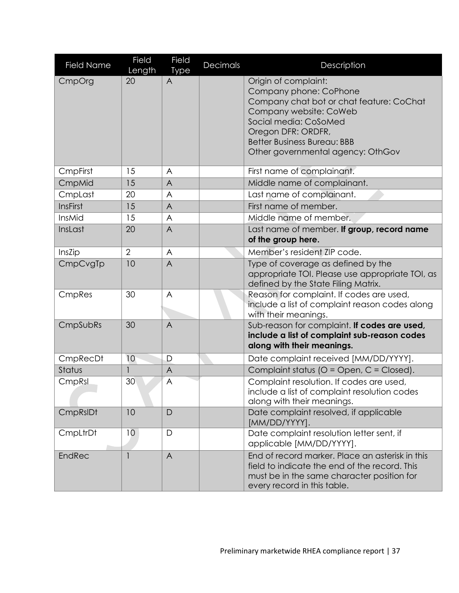| <b>Field Name</b> | Field<br>Length | Field<br><b>Type</b> | Decimals | Description                                                                                                                                                                                                                                    |
|-------------------|-----------------|----------------------|----------|------------------------------------------------------------------------------------------------------------------------------------------------------------------------------------------------------------------------------------------------|
| CmpOrg            | 20              | $\mathsf{A}$         |          | Origin of complaint:<br>Company phone: CoPhone<br>Company chat bot or chat feature: CoChat<br>Company website: CoWeb<br>Social media: CoSoMed<br>Oregon DFR: ORDFR,<br><b>Better Business Bureau: BBB</b><br>Other governmental agency: OthGov |
| CmpFirst          | 15              | A                    |          | First name of complainant.                                                                                                                                                                                                                     |
| CmpMid            | 15              | $\overline{A}$       |          | Middle name of complainant.                                                                                                                                                                                                                    |
| CmpLast           | 20              | A                    |          | Last name of complainant.                                                                                                                                                                                                                      |
| <b>InsFirst</b>   | 15              | $\overline{A}$       |          | First name of member.                                                                                                                                                                                                                          |
| InsMid            | 15              | A                    |          | Middle name of member.                                                                                                                                                                                                                         |
| InsLast           | 20              | $\overline{A}$       |          | Last name of member. If group, record name<br>of the group here.                                                                                                                                                                               |
| InsZip            | $\overline{2}$  | A                    |          | Member's resident ZIP code.                                                                                                                                                                                                                    |
| CmpCvgTp          | 10              | $\overline{A}$       |          | Type of coverage as defined by the<br>appropriate TOI. Please use appropriate TOI, as<br>defined by the State Filing Matrix.                                                                                                                   |
| CmpRes            | 30              | A                    |          | Reason for complaint. If codes are used,<br>include a list of complaint reason codes along<br>with their meanings.                                                                                                                             |
| CmpSubRs          | 30              | $\overline{A}$       |          | Sub-reason for complaint. If codes are used,<br>include a list of complaint sub-reason codes<br>along with their meanings.                                                                                                                     |
| CmpRecDt          | 10              | D                    |          | Date complaint received [MM/DD/YYYY].                                                                                                                                                                                                          |
| Status            | $\mathbf{1}$    | $\overline{A}$       |          | Complaint status (O = Open, C = Closed).                                                                                                                                                                                                       |
| CmpRsl            | 30              | $\overline{A}$       |          | Complaint resolution. If codes are used,<br>include a list of complaint resolution codes<br>along with their meanings.                                                                                                                         |
| CmpRsIDt          | 10              | D                    |          | Date complaint resolved, if applicable<br>[MM/DD/YYYY].                                                                                                                                                                                        |
| CmpLtrDt          | 10              | D                    |          | Date complaint resolution letter sent, if<br>applicable [MM/DD/YYYY].                                                                                                                                                                          |
| <b>EndRec</b>     |                 | $\overline{A}$       |          | End of record marker. Place an asterisk in this<br>field to indicate the end of the record. This<br>must be in the same character position for<br>every record in this table.                                                                  |